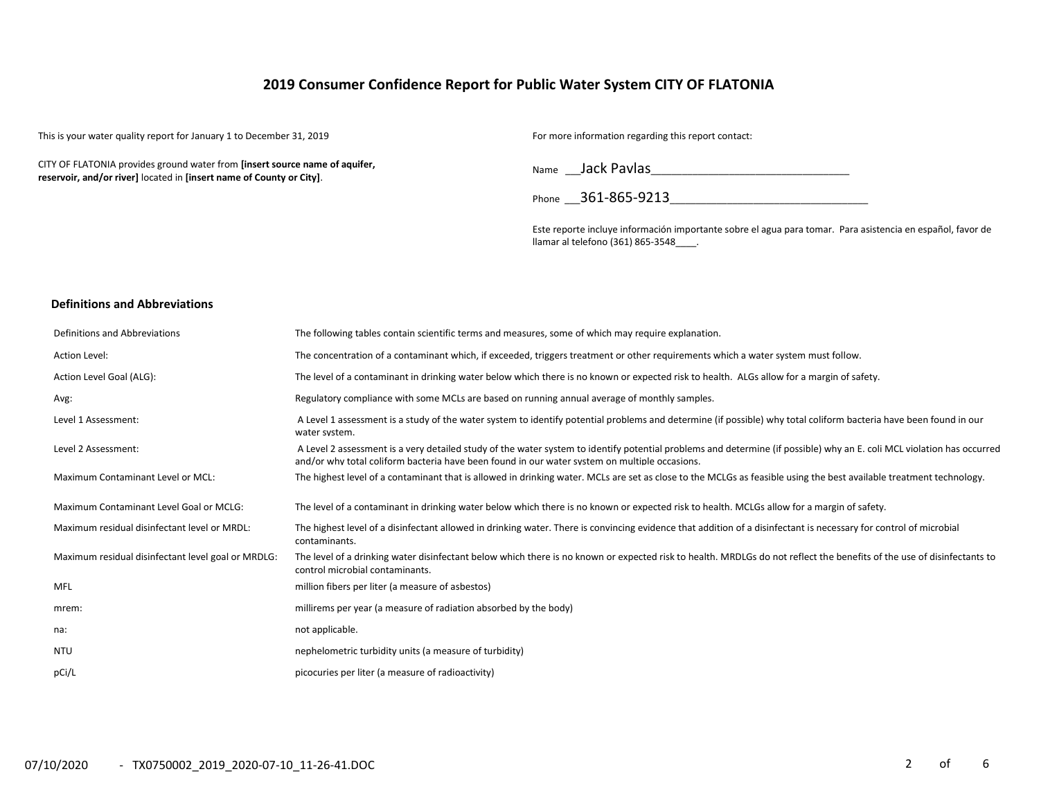# **2019 Consumer Confidence Report for Public Water System CITY OF FLATONIA**

This is your water quality report for January 1 to December 31, 2019 For more information regarding this report contact:

CITY OF FLATONIA provides ground water from **[insert source name of aquifer, reservoir, and/or river]** located in **[insert name of County or City]**.

Name \_\_\_Jack Pavlas\_\_\_\_\_\_\_\_\_\_\_\_\_\_\_\_\_\_\_\_\_\_\_\_\_\_\_\_\_\_\_\_\_\_\_\_\_\_

Phone \_\_\_361-865-9213\_\_\_\_\_\_\_\_\_\_\_\_\_\_\_\_\_\_\_\_\_\_\_\_\_\_\_\_\_\_\_\_\_\_\_\_\_\_

Este reporte incluye información importante sobre el agua para tomar. Para asistencia en español, favor de llamar al telefono (361) 865-3548\_\_\_\_.

#### **Definitions and Abbreviations**

| Definitions and Abbreviations                      | The following tables contain scientific terms and measures, some of which may require explanation.                                                                                                                                                                      |
|----------------------------------------------------|-------------------------------------------------------------------------------------------------------------------------------------------------------------------------------------------------------------------------------------------------------------------------|
| Action Level:                                      | The concentration of a contaminant which, if exceeded, triggers treatment or other requirements which a water system must follow.                                                                                                                                       |
| Action Level Goal (ALG):                           | The level of a contaminant in drinking water below which there is no known or expected risk to health. ALGs allow for a margin of safety.                                                                                                                               |
| Avg:                                               | Regulatory compliance with some MCLs are based on running annual average of monthly samples.                                                                                                                                                                            |
| Level 1 Assessment:                                | A Level 1 assessment is a study of the water system to identify potential problems and determine (if possible) why total coliform bacteria have been found in our<br>water system.                                                                                      |
| Level 2 Assessment:                                | A Level 2 assessment is a very detailed study of the water system to identify potential problems and determine (if possible) why an E. coli MCL violation has occurred<br>and/or why total coliform bacteria have been found in our water system on multiple occasions. |
| Maximum Contaminant Level or MCL:                  | The highest level of a contaminant that is allowed in drinking water. MCLs are set as close to the MCLGs as feasible using the best available treatment technology.                                                                                                     |
| Maximum Contaminant Level Goal or MCLG:            | The level of a contaminant in drinking water below which there is no known or expected risk to health. MCLGs allow for a margin of safety.                                                                                                                              |
| Maximum residual disinfectant level or MRDL:       | The highest level of a disinfectant allowed in drinking water. There is convincing evidence that addition of a disinfectant is necessary for control of microbial<br>contaminants.                                                                                      |
| Maximum residual disinfectant level goal or MRDLG: | The level of a drinking water disinfectant below which there is no known or expected risk to health. MRDLGs do not reflect the benefits of the use of disinfectants to<br>control microbial contaminants.                                                               |
| MFL                                                | million fibers per liter (a measure of asbestos)                                                                                                                                                                                                                        |
| mrem:                                              | millirems per year (a measure of radiation absorbed by the body)                                                                                                                                                                                                        |
| na:                                                | not applicable.                                                                                                                                                                                                                                                         |
| <b>NTU</b>                                         | nephelometric turbidity units (a measure of turbidity)                                                                                                                                                                                                                  |
| pCi/L                                              | picocuries per liter (a measure of radioactivity)                                                                                                                                                                                                                       |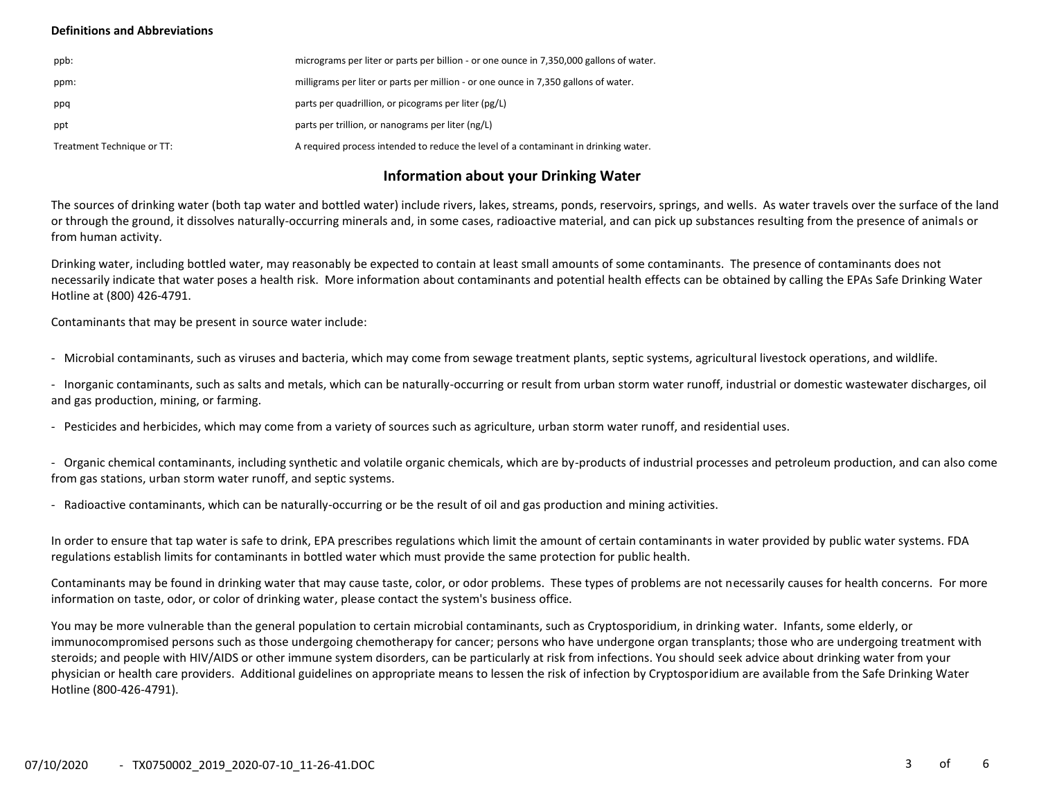## **Definitions and Abbreviations**

| ppb:                       | micrograms per liter or parts per billion - or one ounce in 7,350,000 gallons of water. |
|----------------------------|-----------------------------------------------------------------------------------------|
| ppm:                       | milligrams per liter or parts per million - or one ounce in 7,350 gallons of water.     |
| ppq                        | parts per quadrillion, or picograms per liter (pg/L)                                    |
| ppt                        | parts per trillion, or nanograms per liter (ng/L)                                       |
| Treatment Technique or TT: | A required process intended to reduce the level of a contaminant in drinking water.     |

# **Information about your Drinking Water**

The sources of drinking water (both tap water and bottled water) include rivers, lakes, streams, ponds, reservoirs, springs, and wells. As water travels over the surface of the land or through the ground, it dissolves naturally-occurring minerals and, in some cases, radioactive material, and can pick up substances resulting from the presence of animals or from human activity.

Drinking water, including bottled water, may reasonably be expected to contain at least small amounts of some contaminants. The presence of contaminants does not necessarily indicate that water poses a health risk. More information about contaminants and potential health effects can be obtained by calling the EPAs Safe Drinking Water Hotline at (800) 426-4791.

Contaminants that may be present in source water include:

- Microbial contaminants, such as viruses and bacteria, which may come from sewage treatment plants, septic systems, agricultural livestock operations, and wildlife.

- Inorganic contaminants, such as salts and metals, which can be naturally-occurring or result from urban storm water runoff, industrial or domestic wastewater discharges, oil and gas production, mining, or farming.

- Pesticides and herbicides, which may come from a variety of sources such as agriculture, urban storm water runoff, and residential uses.

- Organic chemical contaminants, including synthetic and volatile organic chemicals, which are by-products of industrial processes and petroleum production, and can also come from gas stations, urban storm water runoff, and septic systems.

- Radioactive contaminants, which can be naturally-occurring or be the result of oil and gas production and mining activities.

In order to ensure that tap water is safe to drink, EPA prescribes regulations which limit the amount of certain contaminants in water provided by public water systems. FDA regulations establish limits for contaminants in bottled water which must provide the same protection for public health.

Contaminants may be found in drinking water that may cause taste, color, or odor problems. These types of problems are not necessarily causes for health concerns. For more information on taste, odor, or color of drinking water, please contact the system's business office.

You may be more vulnerable than the general population to certain microbial contaminants, such as Cryptosporidium, in drinking water. Infants, some elderly, or immunocompromised persons such as those undergoing chemotherapy for cancer; persons who have undergone organ transplants; those who are undergoing treatment with steroids; and people with HIV/AIDS or other immune system disorders, can be particularly at risk from infections. You should seek advice about drinking water from your physician or health care providers. Additional guidelines on appropriate means to lessen the risk of infection by Cryptosporidium are available from the Safe Drinking Water Hotline (800-426-4791).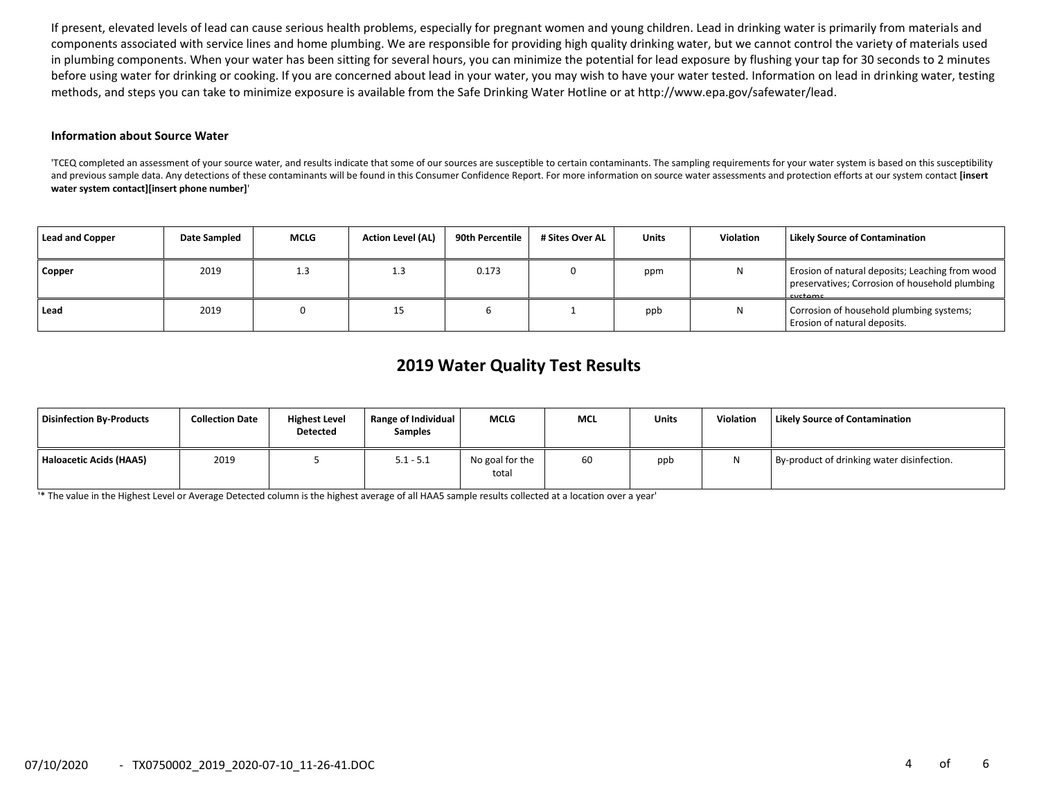If present, elevated levels of lead can cause serious health problems, especially for pregnant women and young children. Lead in drinking water is primarily from materials and components associated with service lines and home plumbing. We are responsible for providing high quality drinking water, but we cannot control the variety of materials used in plumbing components. When your water has been sitting for several hours, you can minimize the potential for lead exposure by flushing your tap for 30 seconds to 2 minutes before using water for drinking or cooking. If you are concerned about lead in your water, you may wish to have your water tested. Information on lead in drinking water, testing methods, and steps you can take to minimize exposure is available from the Safe Drinking Water Hotline or at http://www.epa.gov/safewater/lead.

#### **Information about Source Water**

'TCEQ completed an assessment of your source water, and results indicate that some of our sources are susceptible to certain contaminants. The sampling requirements for your water system is based on this susceptibility and previous sample data. Any detections of these contaminants will be found in this Consumer Confidence Report. For more information on source water assessments and protection efforts at our system contact **[insert water system contact][insert phone number]**'

| <b>Lead and Copper</b> | Date Sampled | <b>MCLG</b> | <b>Action Level (AL)</b> | 90th Percentile | # Sites Over AL | <b>Units</b> | Violation | Likely Source of Contamination                                                                               |
|------------------------|--------------|-------------|--------------------------|-----------------|-----------------|--------------|-----------|--------------------------------------------------------------------------------------------------------------|
| Copper                 | 2019         | 1.3         | 1.3                      | 0.173           |                 | ppm          | Ν         | Erosion of natural deposits; Leaching from wood<br>preservatives; Corrosion of household plumbing<br>cyctame |
| Lead                   | 2019         |             |                          |                 |                 | ppb          | Ν         | Corrosion of household plumbing systems;<br>Erosion of natural deposits.                                     |

# **2019 Water Quality Test Results**

| Disinfection Bv-Products | <b>Collection Date</b> | <b>Highest Level</b><br><b>Detected</b> | Range of Individual<br><b>Samples</b> | <b>MCLG</b>              | <b>MCL</b> | <b>Units</b> | <b>Violation</b> | <b>Likely Source of Contamination</b>      |
|--------------------------|------------------------|-----------------------------------------|---------------------------------------|--------------------------|------------|--------------|------------------|--------------------------------------------|
| Haloacetic Acids (HAA5)  | 2019                   |                                         | $5.1 - 5.1$                           | No goal for the<br>total | 60         | ppb          |                  | By-product of drinking water disinfection. |

'\* The value in the Highest Level or Average Detected column is the highest average of all HAA5 sample results collected at a location over a year'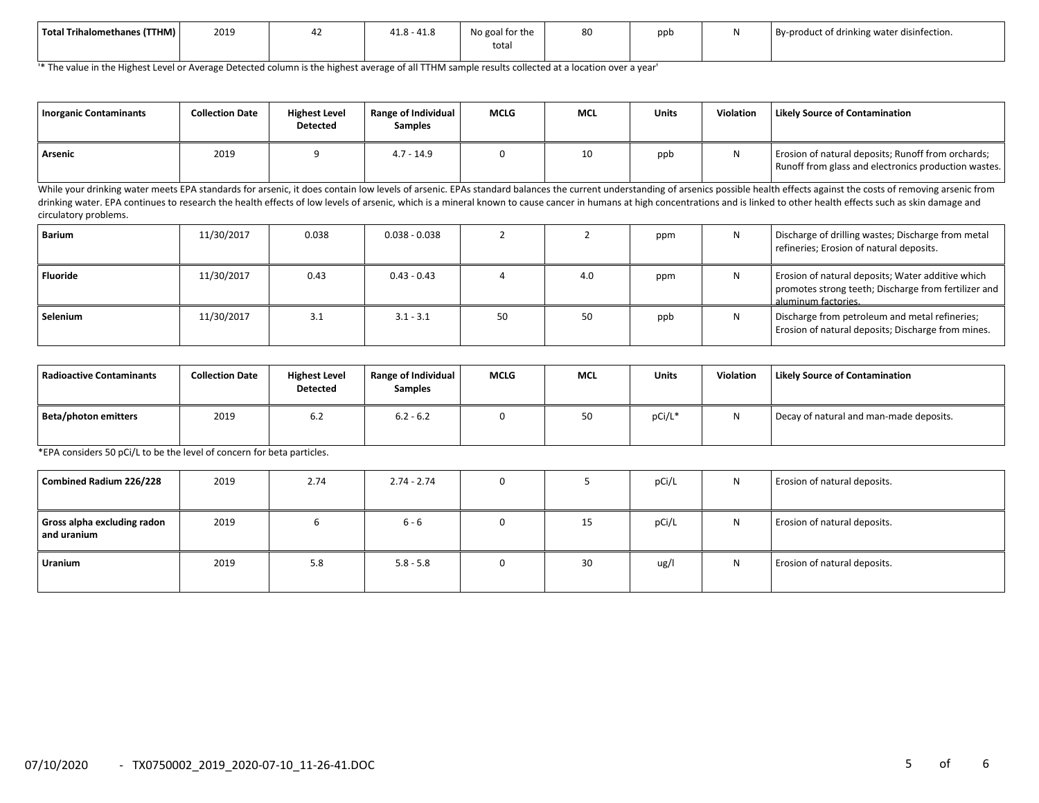| Total Trihalomethanes (TTHM) | 2019 | $\overline{11}$<br>11c<br>41.0 - 41.0 | No goal for the<br>tota. | 80 | ppt | By-product of drinking water disinfection. |
|------------------------------|------|---------------------------------------|--------------------------|----|-----|--------------------------------------------|
|                              |      |                                       |                          |    |     |                                            |

'\* The value in the Highest Level or Average Detected column is the highest average of all TTHM sample results collected at a location over a year'

| Inorganic Contaminants | <b>Collection Date</b> | <b>Highest Level</b><br><b>Detected</b> | Range of Individual<br>Samples | <b>MCLG</b> | <b>MCL</b> | <b>Units</b> | Violation | Likely Source of Contamination                                                                             |
|------------------------|------------------------|-----------------------------------------|--------------------------------|-------------|------------|--------------|-----------|------------------------------------------------------------------------------------------------------------|
| Arsenic                | 2019                   |                                         | 4.7 - 14.9                     |             | 10         | ppb          |           | Erosion of natural deposits; Runoff from orchards;<br>Runoff from glass and electronics production wastes. |

While your drinking water meets EPA standards for arsenic, it does contain low levels of arsenic. EPAs standard balances the current understanding of arsenics possible health effects against the costs of removing arsenic f drinking water. EPA continues to research the health effects of low levels of arsenic, which is a mineral known to cause cancer in humans at high concentrations and is linked to other health effects such as skin damage and circulatory problems.

| Barium          | 11/30/2017 | 0.038 | $0.038 - 0.038$ |    |     | ppm |   | Discharge of drilling wastes; Discharge from metal<br>refineries; Erosion of natural deposits.                                   |
|-----------------|------------|-------|-----------------|----|-----|-----|---|----------------------------------------------------------------------------------------------------------------------------------|
| <b>Fluoride</b> | 11/30/2017 | 0.43  | $0.43 - 0.43$   |    | 4.0 | ppm | N | Erosion of natural deposits; Water additive which<br>promotes strong teeth; Discharge from fertilizer and<br>aluminum factories. |
| Selenium        | 11/30/2017 | 3.1   | $3.1 - 3.1$     | 50 | 50  | ppb |   | Discharge from petroleum and metal refineries;<br>Erosion of natural deposits; Discharge from mines.                             |

| l Radioactive Contaminants | <b>Collection Date</b> | <b>Highest Level</b><br><b>Detected</b> | Range of Individual<br><b>Samples</b> | <b>MCLG</b> | <b>MCL</b> | Units  | <b>Violation</b> | <b>Likely Source of Contamination</b>   |
|----------------------------|------------------------|-----------------------------------------|---------------------------------------|-------------|------------|--------|------------------|-----------------------------------------|
| Beta/photon emitters       | 2019                   | 6.2                                     | $6.2 - 6.2$                           |             | 50         | pCi/L* | N                | Decay of natural and man-made deposits. |

\*EPA considers 50 pCi/L to be the level of concern for beta particles.

| Combined Radium 226/228                      | 2019 | 2.74 | $2.74 - 2.74$ | 0 |    | pCi/L | N | Erosion of natural deposits. |
|----------------------------------------------|------|------|---------------|---|----|-------|---|------------------------------|
| Gross alpha excluding radon<br>l and uranium | 2019 |      | $6 - 6$       | 0 | 15 | pCi/L | N | Erosion of natural deposits. |
| Uranium                                      | 2019 | 5.8  | $5.8 - 5.8$   | 0 | 30 | ug/l  | N | Erosion of natural deposits. |